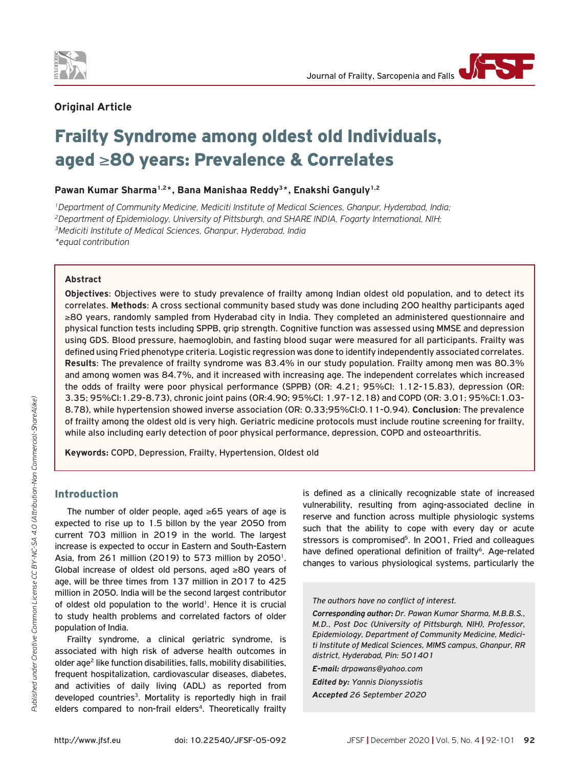



# **Original Article**

# Frailty Syndrome among oldest old Individuals, aged ≥80 years: Prevalence & Correlates

Pawan Kumar Sharma<sup>1,2\*</sup>, Bana Manishaa Reddy<sup>3\*</sup>, Enakshi Ganguly<sup>1,2</sup>

*1Department of Community Medicine, Mediciti Institute of Medical Sciences, Ghanpur, Hyderabad, India; 2Department of Epidemiology, University of Pittsburgh, and SHARE INDIA, Fogarty International, NIH; 3Mediciti Institute of Medical Sciences, Ghanpur, Hyderabad, India \*equal contribution*

#### **Abstract**

**Objectives**: Objectives were to study prevalence of frailty among Indian oldest old population, and to detect its correlates. **Methods**: A cross sectional community based study was done including 200 healthy participants aged ≥80 years, randomly sampled from Hyderabad city in India. They completed an administered questionnaire and physical function tests including SPPB, grip strength. Cognitive function was assessed using MMSE and depression using GDS. Blood pressure, haemoglobin, and fasting blood sugar were measured for all participants. Frailty was defined using Fried phenotype criteria. Logistic regression was done to identify independently associated correlates. **Results**: The prevalence of frailty syndrome was 83.4% in our study population. Frailty among men was 80.3% and among women was 84.7%, and it increased with increasing age. The independent correlates which increased the odds of frailty were poor physical performance (SPPB) (OR: 4.21; 95%CI: 1.12-15.83), depression (OR: 3.35; 95%CI:1.29-8.73), chronic joint pains (OR:4.90; 95%CI: 1.97-12.18) and COPD (OR: 3.01; 95%CI:1.03- 8.78), while hypertension showed inverse association (OR: 0.33;95%CI:0.11-0.94). **Conclusion**: The prevalence of frailty among the oldest old is very high. Geriatric medicine protocols must include routine screening for frailty, while also including early detection of poor physical performance, depression, COPD and osteoarthritis.

**Keywords:** COPD, Depression, Frailty, Hypertension, Oldest old

## Introduction

The number of older people, aged ≥65 years of age is expected to rise up to 1.5 billon by the year 2050 from current 703 million in 2019 in the world. The largest increase is expected to occur in Eastern and South-Eastern Asia, from 261 million (2019) to 573 million by 2050<sup>1</sup>. Global increase of oldest old persons, aged ≥80 years of age, will be three times from 137 million in 2017 to 425 million in 2050. India will be the second largest contributor of oldest old population to the world<sup>1</sup>. Hence it is crucial to study health problems and correlated factors of older population of India.

Frailty syndrome, a clinical geriatric syndrome, is associated with high risk of adverse health outcomes in older age<sup>2</sup> like function disabilities, falls, mobility disabilities, frequent hospitalization, cardiovascular diseases, diabetes, and activities of daily living (ADL) as reported from developed countries<sup>3</sup>. Mortality is reportedly high in frail elders compared to non-frail elders<sup>4</sup>. Theoretically frailty is defined as a clinically recognizable state of increased vulnerability, resulting from aging-associated decline in reserve and function across multiple physiologic systems such that the ability to cope with every day or acute stressors is compromised<sup>5</sup>. In 2001, Fried and colleagues have defined operational definition of frailty<sup>6</sup>. Age-related changes to various physiological systems, particularly the

*The authors have no conflict of interest.*

*Corresponding author: Dr. Pawan Kumar Sharma, M.B.B.S., M.D., Post Doc (University of Pittsburgh, NIH), Professor, Epidemiology, Department of Community Medicine, Mediciti Institute of Medical Sciences, MIMS campus, Ghanpur, RR district, Hyderabad, Pin: 501401*

*E-mail: drpawans@yahoo.com Edited by: Yannis Dionyssiotis*

*Accepted 26 September 2020*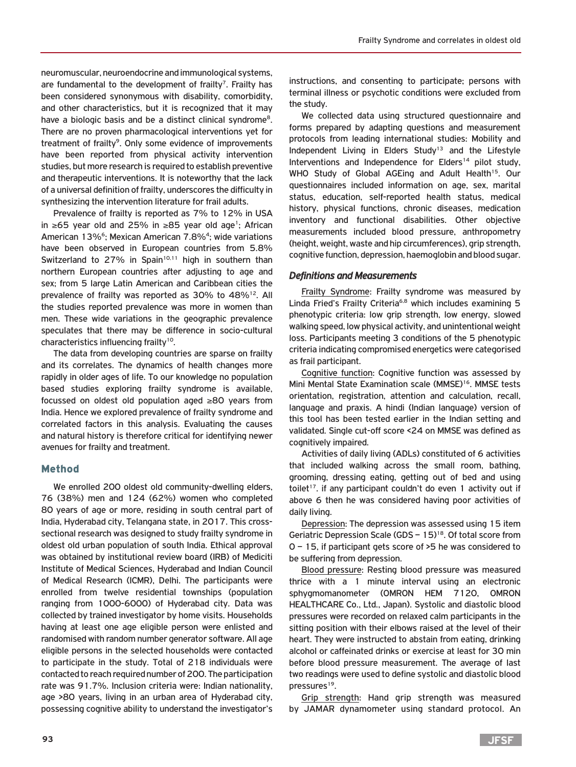neuromuscular, neuroendocrine and immunological systems, are fundamental to the development of frailty<sup>7</sup>. Frailty has been considered synonymous with disability, comorbidity, and other characteristics, but it is recognized that it may have a biologic basis and be a distinct clinical syndrome<sup>8</sup>. There are no proven pharmacological interventions yet for treatment of frailty<sup>9</sup>. Only some evidence of improvements have been reported from physical activity intervention studies, but more research is required to establish preventive and therapeutic interventions. It is noteworthy that the lack of a universal definition of frailty, underscores the difficulty in synthesizing the intervention literature for frail adults.

Prevalence of frailty is reported as 7% to 12% in USA in ≥65 year old and 25% in ≥85 year old age1; African American 13%6; Mexican American 7.8%4; wide variations have been observed in European countries from 5.8% Switzerland to 27% in Spain<sup>10,11</sup> high in southern than northern European countries after adjusting to age and sex; from 5 large Latin American and Caribbean cities the prevalence of frailty was reported as 30% to 48%<sup>12</sup>. All the studies reported prevalence was more in women than men. These wide variations in the geographic prevalence speculates that there may be difference in socio-cultural characteristics influencing frailty<sup>10</sup>.

The data from developing countries are sparse on frailty and its correlates. The dynamics of health changes more rapidly in older ages of life. To our knowledge no population based studies exploring frailty syndrome is available, focussed on oldest old population aged ≥80 years from India. Hence we explored prevalence of frailty syndrome and correlated factors in this analysis. Evaluating the causes and natural history is therefore critical for identifying newer avenues for frailty and treatment.

## Method

We enrolled 200 oldest old community-dwelling elders, 76 (38%) men and 124 (62%) women who completed 80 years of age or more, residing in south central part of India, Hyderabad city, Telangana state, in 2017. This crosssectional research was designed to study frailty syndrome in oldest old urban population of south India. Ethical approval was obtained by institutional review board (IRB) of Mediciti Institute of Medical Sciences, Hyderabad and Indian Council of Medical Research (ICMR), Delhi. The participants were enrolled from twelve residential townships (population ranging from 1000-6000) of Hyderabad city. Data was collected by trained investigator by home visits. Households having at least one age eligible person were enlisted and randomised with random number generator software. All age eligible persons in the selected households were contacted to participate in the study. Total of 218 individuals were contacted to reach required number of 200. The participation rate was 91.7%. Inclusion criteria were: Indian nationality, age >80 years, living in an urban area of Hyderabad city, possessing cognitive ability to understand the investigator's instructions, and consenting to participate; persons with terminal illness or psychotic conditions were excluded from the study.

We collected data using structured questionnaire and forms prepared by adapting questions and measurement protocols from leading international studies: Mobility and Independent Living in Elders Study<sup>13</sup> and the Lifestyle Interventions and Independence for Elders<sup>14</sup> pilot study, WHO Study of Global AGEing and Adult Health<sup>15</sup>. Our questionnaires included information on age, sex, marital status, education, self-reported health status, medical history, physical functions, chronic diseases, medication inventory and functional disabilities. Other objective measurements included blood pressure, anthropometry (height, weight, waste and hip circumferences), grip strength, cognitive function, depression, haemoglobin and blood sugar.

#### *Definitions and Measurements*

Frailty Syndrome: Frailty syndrome was measured by Linda Fried's Frailty Criteria<sup>6,8</sup> which includes examining 5 phenotypic criteria: low grip strength, low energy, slowed walking speed, low physical activity, and unintentional weight loss. Participants meeting 3 conditions of the 5 phenotypic criteria indicating compromised energetics were categorised as frail participant.

Cognitive function: Cognitive function was assessed by Mini Mental State Examination scale (MMSE)<sup>16</sup>. MMSE tests orientation, registration, attention and calculation, recall, language and praxis. A hindi (Indian language) version of this tool has been tested earlier in the Indian setting and validated. Single cut-off score <24 on MMSE was defined as cognitively impaired.

Activities of daily living (ADLs) constituted of 6 activities that included walking across the small room, bathing, grooming, dressing eating, getting out of bed and using toilet<sup>17</sup>. if any participant couldn't do even 1 activity out if above 6 then he was considered having poor activities of daily living.

Depression: The depression was assessed using 15 item Geriatric Depression Scale (GDS  $-15$ )<sup>18</sup>. Of total score from 0 – 15, if participant gets score of >5 he was considered to be suffering from depression.

Blood pressure: Resting blood pressure was measured thrice with a 1 minute interval using an electronic sphygmomanometer (OMRON HEM 7120, OMRON HEALTHCARE Co., Ltd., Japan). Systolic and diastolic blood pressures were recorded on relaxed calm participants in the sitting position with their elbows raised at the level of their heart. They were instructed to abstain from eating, drinking alcohol or caffeinated drinks or exercise at least for 30 min before blood pressure measurement. The average of last two readings were used to define systolic and diastolic blood pressures<sup>19</sup>.

Grip strength: Hand grip strength was measured by JAMAR dynamometer using standard protocol. An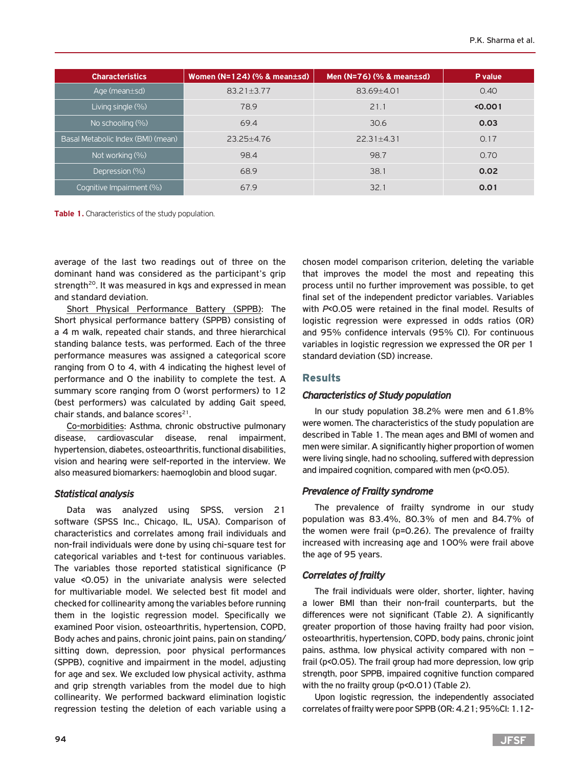| <b>Characteristics</b>             | Women ( $N=124$ ) (% & mean $\pm$ sd) | Men $(N=76)$ (% & mean $\pm$ sd) | P value |
|------------------------------------|---------------------------------------|----------------------------------|---------|
| Age (mean $\pm$ sd)                | 83.21±3.77                            | 83.69±4.01                       | 0.40    |
| Living single (%)                  | 78.9                                  | 21.1                             | < 0.001 |
| No schooling (%)                   | 69.4                                  | 30.6                             | 0.03    |
| Basal Metabolic Index (BMI) (mean) | $23.25 + 4.76$                        | $22.31 + 4.31$                   | 0.17    |
| Not working (%)                    | 98.4                                  | 98.7                             | 0.70    |
| Depression (%)                     | 68.9                                  | 38.1                             | 0.02    |
| Cognitive Impairment (%)           | 67.9                                  | 32.1                             | 0.01    |

**Table 1.** Characteristics of the study population.

average of the last two readings out of three on the dominant hand was considered as the participant's grip strength<sup>20</sup>. It was measured in kgs and expressed in mean and standard deviation.

Short Physical Performance Battery (SPPB): The Short physical performance battery (SPPB) consisting of a 4 m walk, repeated chair stands, and three hierarchical standing balance tests, was performed. Each of the three performance measures was assigned a categorical score ranging from 0 to 4, with 4 indicating the highest level of performance and 0 the inability to complete the test. A summary score ranging from 0 (worst performers) to 12 (best performers) was calculated by adding Gait speed, chair stands, and balance scores $21$ .

Co-morbidities: Asthma, chronic obstructive pulmonary disease, cardiovascular disease, renal impairment, hypertension, diabetes, osteoarthritis, functional disabilities, vision and hearing were self-reported in the interview. We also measured biomarkers: haemoglobin and blood sugar.

#### *Statistical analysis*

Data was analyzed using SPSS, version 21 software (SPSS Inc., Chicago, IL, USA). Comparison of characteristics and correlates among frail individuals and non-frail individuals were done by using chi-square test for categorical variables and t-test for continuous variables. The variables those reported statistical significance (P value <0.05) in the univariate analysis were selected for multivariable model. We selected best fit model and checked for collinearity among the variables before running them in the logistic regression model. Specifically we examined Poor vision, osteoarthritis, hypertension, COPD, Body aches and pains, chronic joint pains, pain on standing/ sitting down, depression, poor physical performances (SPPB), cognitive and impairment in the model, adjusting for age and sex. We excluded low physical activity, asthma and grip strength variables from the model due to high collinearity. We performed backward elimination logistic regression testing the deletion of each variable using a

chosen model comparison criterion, deleting the variable that improves the model the most and repeating this process until no further improvement was possible, to get final set of the independent predictor variables. Variables with *P*<0.05 were retained in the final model. Results of logistic regression were expressed in odds ratios (OR) and 95% confidence intervals (95% CI). For continuous variables in logistic regression we expressed the OR per 1 standard deviation (SD) increase.

## Results

## *Characteristics of Study population*

In our study population 38.2% were men and 61.8% were women. The characteristics of the study population are described in Table 1. The mean ages and BMI of women and men were similar. A significantly higher proportion of women were living single, had no schooling, suffered with depression and impaired cognition, compared with men (p<0.05).

## *Prevalence of Frailty syndrome*

The prevalence of frailty syndrome in our study population was 83.4%, 80.3% of men and 84.7% of the women were frail (p=0.26). The prevalence of frailty increased with increasing age and 100% were frail above the age of 95 years.

#### *Correlates of frailty*

The frail individuals were older, shorter, lighter, having a lower BMI than their non-frail counterparts, but the differences were not significant (Table 2). A significantly greater proportion of those having frailty had poor vision, osteoarthritis, hypertension, COPD, body pains, chronic joint pains, asthma, low physical activity compared with non – frail (p<0.05). The frail group had more depression, low grip strength, poor SPPB, impaired cognitive function compared with the no frailty group (p<0.01) (Table 2).

Upon logistic regression, the independently associated correlates of frailty were poor SPPB (OR: 4.21; 95%CI: 1.12-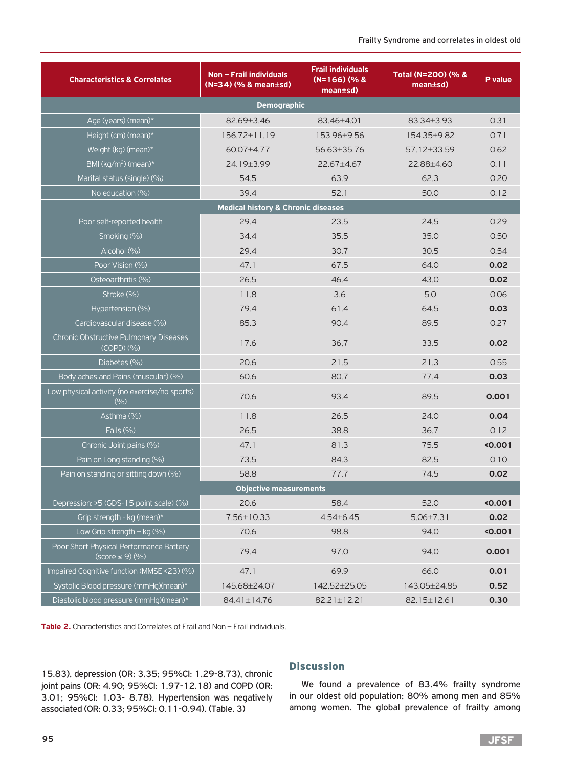| <b>Characteristics &amp; Correlates</b>                        | Non - Frail individuals<br>(N=34) (% & mean±sd) | <b>Frail individuals</b><br>$(N=166)(%$<br>mean±sd) | Total (N=200) (% &<br>$mean \pm sd$ | P value |
|----------------------------------------------------------------|-------------------------------------------------|-----------------------------------------------------|-------------------------------------|---------|
|                                                                | <b>Demographic</b>                              |                                                     |                                     |         |
| Age (years) (mean)*                                            | 82.69±3.46                                      | 83.46+4.01                                          | 83.34+3.93                          | 0.31    |
| Height (cm) (mean)*                                            | 156.72±11.19                                    | 153.96±9.56                                         | 154.35±9.82                         | 0.71    |
| Weight (kg) (mean)*                                            | 60.07±4.77                                      | 56.63±35.76                                         | 57.12±33.59                         | 0.62    |
| BMI ( $kg/m^2$ ) (mean)*                                       | 24.19±3.99                                      | 22.67±4.67                                          | 22.88±4.60                          | 0.11    |
| Marital status (single) (%)                                    | 54.5                                            | 63.9                                                | 62.3                                | 0.20    |
| No education (%)                                               | 39.4                                            | 52.1                                                | 50.0                                | 0.12    |
|                                                                | <b>Medical history &amp; Chronic diseases</b>   |                                                     |                                     |         |
| Poor self-reported health                                      | 29.4                                            | 23.5                                                | 24.5                                | 0.29    |
| Smoking (%)                                                    | 34.4                                            | 35.5                                                | 35.0                                | 0.50    |
| Alcohol (%)                                                    | 29.4                                            | 30.7                                                | 30.5                                | 0.54    |
| Poor Vision (%)                                                | 47.1                                            | 67.5                                                | 64.0                                | 0.02    |
| Osteoarthritis (%)                                             | 26.5                                            | 46.4                                                | 43.0                                | 0.02    |
| Stroke (%)                                                     | 11.8                                            | 3.6                                                 | 5.0                                 | 0.06    |
| Hypertension (%)                                               | 79.4                                            | 61.4                                                | 64.5                                | 0.03    |
| Cardiovascular disease (%)                                     | 85.3                                            | 90.4                                                | 89.5                                | 0.27    |
| Chronic Obstructive Pulmonary Diseases<br>(COPD) (%)           | 17.6                                            | 36,7                                                | 33.5                                | 0.02    |
| Diabetes (%)                                                   | 20.6                                            | 21.5                                                | 21.3                                | 0.55    |
| Body aches and Pains (muscular) (%)                            | 60.6                                            | 80.7                                                | 77.4                                | 0.03    |
| Low physical activity (no exercise/no sports)<br>(9/0)         | 70.6                                            | 93.4                                                | 89.5                                | 0.001   |
| Asthma (%)                                                     | 11.8                                            | 26.5                                                | 24.0                                | 0.04    |
| Falls (%)                                                      | 26.5                                            | 38.8                                                | 36.7                                | 0.12    |
| Chronic Joint pains (%)                                        | 47.1                                            | 81.3                                                | 75.5                                | 0.001   |
| Pain on Long standing (%)                                      | 73.5                                            | 84.3                                                | 82.5                                | 0.10    |
| Pain on standing or sitting down (%)                           | 58.8                                            | 77.7                                                | 74.5                                | 0.02    |
|                                                                | Objective measurements                          |                                                     |                                     |         |
| Depression: >5 (GDS-15 point scale) (%)                        | 20.6                                            | 58.4                                                | 52.0                                | < 0.001 |
| Grip strength - kg (mean)*                                     | 7.56±10.33                                      | $4.54 \pm 6.45$                                     | $5.06 \pm 7.31$                     | 0.02    |
| Low Grip strength $-$ kg (%)                                   | 70.6                                            | 98.8                                                | 94.0                                | 0.001   |
| Poor Short Physical Performance Battery<br>$(score \le 9)(\%)$ | 79.4                                            | 97.0                                                | 94.0                                | 0.001   |
| Impaired Cognitive function (MMSE <23) (%)                     | 47.1                                            | 69.9                                                | 66.0                                | 0.01    |
| Systolic Blood pressure (mmHg)(mean)*                          | 145.68±24.07                                    | 142.52±25.05                                        | 143.05±24.85                        | 0.52    |
| Diastolic blood pressure (mmHg)(mean)*                         | 84.41±14.76                                     | 82.21±12.21                                         | 82.15±12.61                         | 0.30    |

**Table 2.** Characteristics and Correlates of Frail and Non – Frail individuals.

15.83), depression (OR: 3.35; 95%CI: 1.29-8.73), chronic joint pains (OR: 4.90; 95%CI: 1.97-12.18) and COPD (OR: 3.01; 95%CI: 1.03- 8.78). Hypertension was negatively associated (OR: 0.33; 95%CI: 0.11-0.94). (Table. 3)

#### **Discussion**

We found a prevalence of 83.4% frailty syndrome in our oldest old population; 80% among men and 85% among women. The global prevalence of frailty among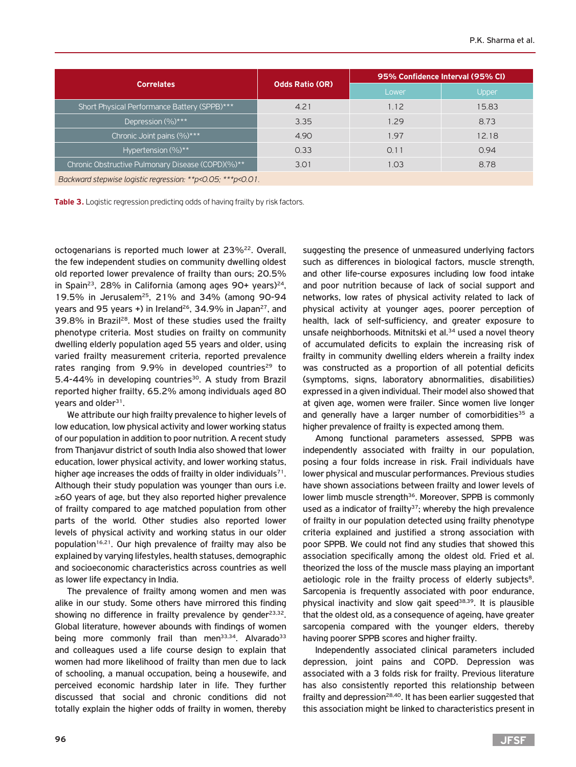|                                                             |                        | 95% Confidence Interval (95% CI) |       |  |
|-------------------------------------------------------------|------------------------|----------------------------------|-------|--|
| <b>Correlates</b>                                           | <b>Odds Ratio (OR)</b> | Lower                            | Upper |  |
| Short Physical Performance Battery (SPPB)***                | 4.21                   | 1.12                             | 15.83 |  |
| Depression (%)***                                           | 3.35                   | 1.29                             | 8.73  |  |
| Chronic Joint pains (%)***                                  | 4.90                   | 1.97                             | 12.18 |  |
| Hypertension $(\%)**$                                       | 0.33                   | 0.11                             | 0.94  |  |
| Chronic Obstructive Pulmonary Disease (COPD)(%)**           | 3.01                   | 1.03                             | 8.78  |  |
| Backward stepwise logistic regression: **p<0.05; ***p<0.01. |                        |                                  |       |  |

Table 3. Logistic regression predicting odds of having frailty by risk factors.

octogenarians is reported much lower at 23%<sup>22</sup>. Overall, the few independent studies on community dwelling oldest old reported lower prevalence of frailty than ours; 20.5% in Spain<sup>23</sup>, 28% in California (among ages 90+ years)<sup>24</sup>, 19.5% in Jerusalem25, 21% and 34% (among 90-94 years and 95 years  $+$ ) in Ireland<sup>26</sup>, 34.9% in Japan<sup>27</sup>, and 39.8% in Brazil28. Most of these studies used the frailty phenotype criteria. Most studies on frailty on community dwelling elderly population aged 55 years and older, using varied frailty measurement criteria, reported prevalence rates ranging from  $9.9\%$  in developed countries<sup>29</sup> to 5.4-44% in developing countries<sup>30</sup>. A study from Brazil reported higher frailty, 65.2% among individuals aged 80 years and older<sup>31</sup>.

We attribute our high frailty prevalence to higher levels of low education, low physical activity and lower working status of our population in addition to poor nutrition. A recent study from Thanjavur district of south India also showed that lower education, lower physical activity, and lower working status, higher age increases the odds of frailty in older individuals $71$ . Although their study population was younger than ours i.e. ≥60 years of age, but they also reported higher prevalence of frailty compared to age matched population from other parts of the world. Other studies also reported lower levels of physical activity and working status in our older population<sup>16,21</sup>. Our high prevalence of frailty may also be explained by varying lifestyles, health statuses, demographic and socioeconomic characteristics across countries as well as lower life expectancy in India.

The prevalence of frailty among women and men was alike in our study. Some others have mirrored this finding showing no difference in frailty prevalence by gender $^{23,32}$ . Global literature, however abounds with findings of women being more commonly frail than men<sup>33,34</sup>. Alvarado<sup>33</sup> and colleagues used a life course design to explain that women had more likelihood of frailty than men due to lack of schooling, a manual occupation, being a housewife, and perceived economic hardship later in life. They further discussed that social and chronic conditions did not totally explain the higher odds of frailty in women, thereby

suggesting the presence of unmeasured underlying factors such as differences in biological factors, muscle strength, and other life-course exposures including low food intake and poor nutrition because of lack of social support and networks, low rates of physical activity related to lack of physical activity at younger ages, poorer perception of health, lack of self-sufficiency, and greater exposure to unsafe neighborhoods. Mitnitski et al.<sup>34</sup> used a novel theory of accumulated deficits to explain the increasing risk of frailty in community dwelling elders wherein a frailty index was constructed as a proportion of all potential deficits (symptoms, signs, laboratory abnormalities, disabilities) expressed in a given individual. Their model also showed that at given age, women were frailer. Since women live longer and generally have a larger number of comorbidities $35$  a higher prevalence of frailty is expected among them.

Among functional parameters assessed, SPPB was independently associated with frailty in our population, posing a four folds increase in risk. Frail individuals have lower physical and muscular performances. Previous studies have shown associations between frailty and lower levels of lower limb muscle strength<sup>36</sup>. Moreover, SPPB is commonly used as a indicator of frailty $37$ ; whereby the high prevalence of frailty in our population detected using frailty phenotype criteria explained and justified a strong association with poor SPPB. We could not find any studies that showed this association specifically among the oldest old. Fried et al. theorized the loss of the muscle mass playing an important aetiologic role in the frailty process of elderly subjects<sup>8</sup>. Sarcopenia is frequently associated with poor endurance, physical inactivity and slow gait speed $38,39$ . It is plausible that the oldest old, as a consequence of ageing, have greater sarcopenia compared with the younger elders, thereby having poorer SPPB scores and higher frailty.

Independently associated clinical parameters included depression, joint pains and COPD. Depression was associated with a 3 folds risk for frailty. Previous literature has also consistently reported this relationship between frailty and depression<sup>28,40</sup>. It has been earlier suggested that this association might be linked to characteristics present in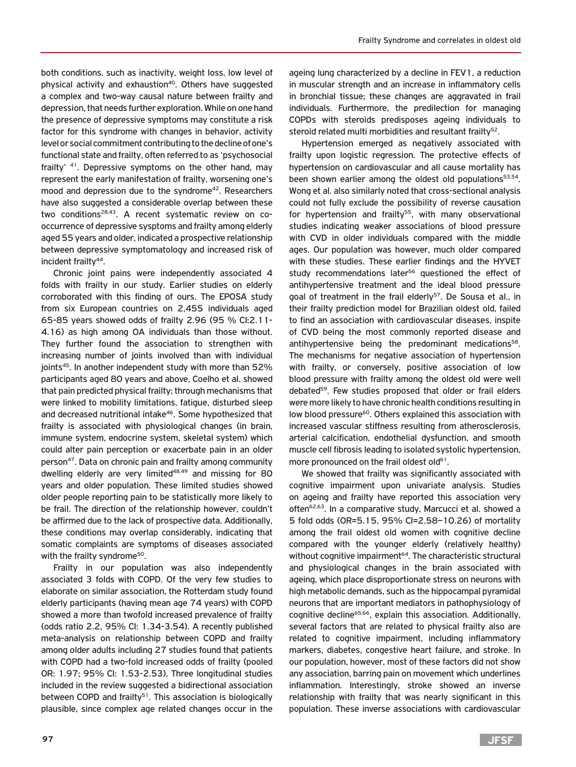both conditions, such as inactivity, weight loss, low level of physical activity and exhaustion<sup>40</sup>. Others have suggested a complex and two-way causal nature between frailty and depression, that needs further exploration. While on one hand the presence of depressive symptoms may constitute a risk factor for this syndrome with changes in behavior, activity level or social commitment contributing to the decline of one's functional state and frailty, often referred to as 'psychosocial frailty' <sup>41</sup>. Depressive symptoms on the other hand, may represent the early manifestation of frailty, worsening one's mood and depression due to the syndrome<sup>42</sup>. Researchers have also suggested a considerable overlap between these two conditions<sup>28,43</sup>. A recent systematic review on cooccurrence of depressive sysptoms and frailty among elderly aged 55 years and older, indicated a prospective relationship between depressive symptomatology and increased risk of incident frailty<sup>44</sup>.

Chronic joint pains were independently associated 4 folds with frailty in our study. Earlier studies on elderly corroborated with this finding of ours. The EPOSA study from six European countries on 2,455 individuals aged 65-85 years showed odds of frailty 2.96 (95 % CI:2.11- 4.16) as high among OA individuals than those without. They further found the association to strengthen with increasing number of joints involved than with individual joints<sup>45</sup>. In another independent study with more than 52% participants aged 80 years and above, Coelho et al. showed that pain predicted physical frailty; through mechanisms that were linked to mobility limitations, fatigue, disturbed sleep and decreased nutritional intake<sup>46</sup>. Some hypothesized that frailty is associated with physiological changes (in brain, immune system, endocrine system, skeletal system) which could alter pain perception or exacerbate pain in an older person<sup>47</sup>. Data on chronic pain and frailty among community dwelling elderly are very limited<sup>48,49</sup> and missing for 80 years and older population. These limited studies showed older people reporting pain to be statistically more likely to be frail. The direction of the relationship however, couldn't be affirmed due to the lack of prospective data. Additionally, these conditions may overlap considerably, indicating that somatic complaints are symptoms of diseases associated with the frailty syndrome<sup>50</sup>.

Frailty in our population was also independently associated 3 folds with COPD. Of the very few studies to elaborate on similar association, the Rotterdam study found elderly participants (having mean age 74 years) with COPD showed a more than twofold increased prevalence of frailty (odds ratio 2.2, 95% CI: 1.34-3.54). A recently published meta-analysis on relationship between COPD and frailty among older adults including 27 studies found that patients with COPD had a two-fold increased odds of frailty (pooled OR: 1.97; 95% CI: 1.53-2.53). Three longitudinal studies included in the review suggested a bidirectional association between COPD and frailty<sup>51</sup>. This association is biologically plausible, since complex age related changes occur in the

ageing lung characterized by a decline in FEV1, a reduction in muscular strength and an increase in inflammatory cells in bronchial tissue; these changes are aggravated in frail individuals. Furthermore, the predilection for managing COPDs with steroids predisposes ageing individuals to steroid related multi morbidities and resultant frailty<sup>52</sup>.

Hypertension emerged as negatively associated with frailty upon logistic regression. The protective effects of hypertension on cardiovascular and all cause mortality has been shown earlier among the oldest old populations $53,54$ . Wong et al. also similarly noted that cross-sectional analysis could not fully exclude the possibility of reverse causation for hypertension and frailty<sup>55</sup>, with many observational studies indicating weaker associations of blood pressure with CVD in older individuals compared with the middle ages. Our population was however, much older compared with these studies. These earlier findings and the HYVET study recommendations later<sup>56</sup> questioned the effect of antihypertensive treatment and the ideal blood pressure goal of treatment in the frail elderly<sup>57</sup>. De Sousa et al., in their frailty prediction model for Brazilian oldest old, failed to find an association with cardiovascular diseases, inspite of CVD being the most commonly reported disease and antihypertensive being the predominant medications<sup>58</sup>. The mechanisms for negative association of hypertension with frailty, or conversely, positive association of low blood pressure with frailty among the oldest old were well debated<sup>59</sup>. Few studies proposed that older or frail elders were more likely to have chronic health conditions resulting in low blood pressure<sup>60</sup>. Others explained this association with increased vascular stiffness resulting from atherosclerosis, arterial calcification, endothelial dysfunction, and smooth muscle cell fibrosis leading to isolated systolic hypertension, more pronounced on the frail oldest old<sup>61</sup>.

We showed that frailty was significantly associated with cognitive impairment upon univariate analysis. Studies on ageing and frailty have reported this association very often<sup>62,63</sup>. In a comparative study, Marcucci et al. showed a 5 fold odds (OR=5.15, 95% CI=2.58–10.26) of mortality among the frail oldest old women with cognitive decline compared with the younger elderly (relatively healthy) without cognitive impairment<sup>64</sup>. The characteristic structural and physiological changes in the brain associated with ageing, which place disproportionate stress on neurons with high metabolic demands, such as the hippocampal pyramidal neurons that are important mediators in pathophysiology of cognitive decline<sup>65,66</sup>, explain this association. Additionally, several factors that are related to physical frailty also are related to cognitive impairment, including inflammatory markers, diabetes, congestive heart failure, and stroke. In our population, however, most of these factors did not show any association, barring pain on movement which underlines inflammation. Interestingly, stroke showed an inverse relationship with frailty that was nearly significant in this population. These inverse associations with cardiovascular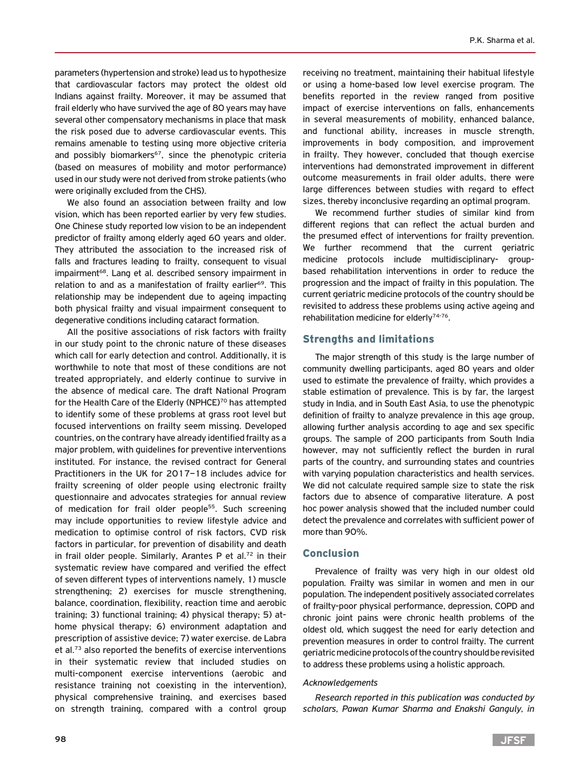parameters (hypertension and stroke) lead us to hypothesize that cardiovascular factors may protect the oldest old Indians against frailty. Moreover, it may be assumed that frail elderly who have survived the age of 80 years may have several other compensatory mechanisms in place that mask the risk posed due to adverse cardiovascular events. This remains amenable to testing using more objective criteria and possibly biomarkers<sup>67</sup>, since the phenotypic criteria (based on measures of mobility and motor performance) used in our study were not derived from stroke patients (who were originally excluded from the CHS).

We also found an association between frailty and low vision, which has been reported earlier by very few studies. One Chinese study reported low vision to be an independent predictor of frailty among elderly aged 60 years and older. They attributed the association to the increased risk of falls and fractures leading to frailty, consequent to visual impairment<sup>68</sup>. Lang et al. described sensory impairment in relation to and as a manifestation of frailty earlier<sup>69</sup>. This relationship may be independent due to ageing impacting both physical frailty and visual impairment consequent to degenerative conditions including cataract formation.

All the positive associations of risk factors with frailty in our study point to the chronic nature of these diseases which call for early detection and control. Additionally, it is worthwhile to note that most of these conditions are not treated appropriately, and elderly continue to survive in the absence of medical care. The draft National Program for the Health Care of the Elderly (NPHCE)<sup>70</sup> has attempted to identify some of these problems at grass root level but focused interventions on frailty seem missing. Developed countries, on the contrary have already identified frailty as a major problem, with guidelines for preventive interventions instituted. For instance, the revised contract for General Practitioners in the UK for 2017–18 includes advice for frailty screening of older people using electronic frailty questionnaire and advocates strategies for annual review of medication for frail older people<sup>55</sup>. Such screening may include opportunities to review lifestyle advice and medication to optimise control of risk factors, CVD risk factors in particular, for prevention of disability and death in frail older people. Similarly, Arantes P et al.<sup>72</sup> in their systematic review have compared and verified the effect of seven different types of interventions namely, 1) muscle strengthening; 2) exercises for muscle strengthening, balance, coordination, flexibility, reaction time and aerobic training; 3) functional training; 4) physical therapy; 5) athome physical therapy; 6) environment adaptation and prescription of assistive device; 7) water exercise. de Labra et al.73 also reported the benefits of exercise interventions in their systematic review that included studies on multi-component exercise interventions (aerobic and resistance training not coexisting in the intervention), physical comprehensive training, and exercises based on strength training, compared with a control group

receiving no treatment, maintaining their habitual lifestyle or using a home-based low level exercise program. The benefits reported in the review ranged from positive impact of exercise interventions on falls, enhancements in several measurements of mobility, enhanced balance, and functional ability, increases in muscle strength, improvements in body composition, and improvement in frailty. They however, concluded that though exercise interventions had demonstrated improvement in different outcome measurements in frail older adults, there were large differences between studies with regard to effect sizes, thereby inconclusive regarding an optimal program.

We recommend further studies of similar kind from different regions that can reflect the actual burden and the presumed effect of interventions for frailty prevention. We further recommend that the current geriatric medicine protocols include multidisciplinary- groupbased rehabilitation interventions in order to reduce the progression and the impact of frailty in this population. The current geriatric medicine protocols of the country should be revisited to address these problems using active ageing and rehabilitation medicine for elderly74-76.

#### Strengths and limitations

The major strength of this study is the large number of community dwelling participants, aged 80 years and older used to estimate the prevalence of frailty, which provides a stable estimation of prevalence. This is by far, the largest study in India, and in South East Asia, to use the phenotypic definition of frailty to analyze prevalence in this age group, allowing further analysis according to age and sex specific groups. The sample of 200 participants from South India however, may not sufficiently reflect the burden in rural parts of the country, and surrounding states and countries with varying population characteristics and health services. We did not calculate required sample size to state the risk factors due to absence of comparative literature. A post hoc power analysis showed that the included number could detect the prevalence and correlates with sufficient power of more than 90%.

#### Conclusion

Prevalence of frailty was very high in our oldest old population. Frailty was similar in women and men in our population. The independent positively associated correlates of frailty-poor physical performance, depression, COPD and chronic joint pains were chronic health problems of the oldest old, which suggest the need for early detection and prevention measures in order to control frailty. The current geriatric medicine protocols of the country should be revisited to address these problems using a holistic approach.

#### *Acknowledgements*

*Research reported in this publication was conducted by scholars, Pawan Kumar Sharma and Enakshi Ganguly, in*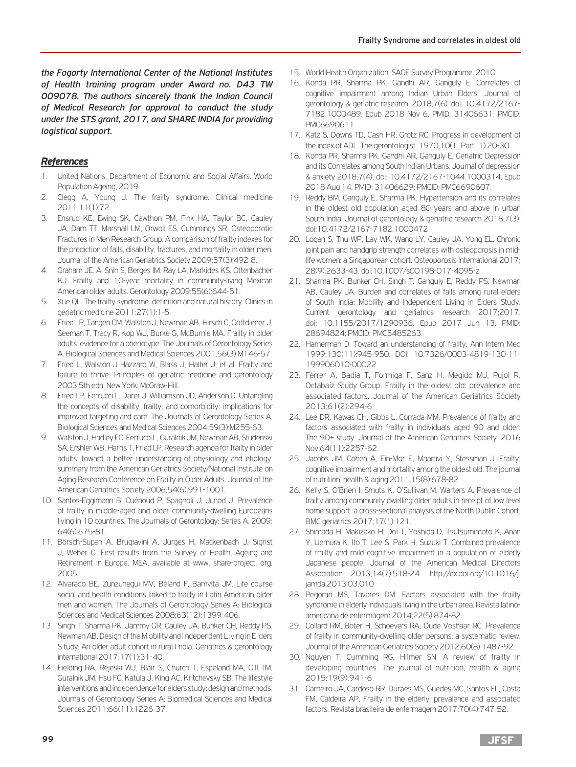*the Fogarty International Center of the National Institutes of Health training program under Award no. D43 TW 009078. The authors sincerely thank the Indian Council of Medical Research for approval to conduct the study under the STS grant, 2017, and SHARE INDIA for providing logistical support.*

## *References*

- 1. United Nations, Department of Economic and Social Affairs. World Population Ageing, 2019.
- 2. Clegg A, Young J. The frailty syndrome. Clinical medicine 2011;11(1):72.
- 3. Ensrud KE, Ewing SK, Cawthon PM, Fink HA, Taylor BC, Cauley JA, Dam TT, Marshall LM, Orwoll ES, Cummings SR, Osteoporotic Fractures in Men Research Group. A comparison of frailty indexes for the prediction of falls, disability, fractures, and mortality in older men. Journal of the American Geriatrics Society 2009;57(3):492-8.
- 4. Graham JE, Al Snih S, Berges IM, Ray LA, Markides KS, Ottenbacher KJ. Frailty and 10-year mortality in community-living Mexican American older adults. Gerontology 2009;55(6):644-51.
- 5. Xue QL. The frailty syndrome: definition and natural history. Clinics in geriatric medicine 2011;27(1):1-5.
- 6. Fried LP, Tangen CM, Walston J, Newman AB, Hirsch C, Gottdiener J, Seeman T, Tracy R, Kop WJ, Burke G, McBurnie MA. Frailty in older adults: evidence for a phenotype. The Journals of Gerontology Series A: Biological Sciences and Medical Sciences 2001;56(3):M146-57.
- 7. Fried L, Walston J Hazzard W, Blass J, Halter J, et al. Frailty and failure to thrive. Principles of geriatric medicine and gerontology 2003 5th edn. New York: McGraw-Hill.
- 8. Fried LP, Ferrucci L, Darer J, Williamson JD, Anderson G. Untangling the concepts of disability, frailty, and comorbidity: implications for improved targeting and care. The Journals of Gerontology Series A: Biological Sciences and Medical Sciences 2004;59(3):M255-63.
- 9. Walston J, Hadley EC, Ferrucci L, Guralnik JM, Newman AB, Studenski SA, Ershler WB, Harris T, Fried LP. Research agenda for frailty in older adults: toward a better understanding of physiology and etiology: summary from the American Geriatrics Society/National Institute on Aging Research Conference on Frailty in Older Adults. Journal of the American Geriatrics Society 2006;54(6):991-1001.
- 10. Santos-Eggimann B, Cuénoud P, Spagnoli J, Junod J. Prevalence of frailty in middle-aged and older community-dwelling Europeans living in 10 countries. The Journals of Gerontology: Series A. 2009; 64(6):675-81.
- 11. Börsch-Supan A, Brugiavini A, Jürges H, Mackenbach J, Sigrist J, Weber G. First results from the Survey of Health, Ageing and Retirement in Europe. MEA, available at www. share-project. org. 2005.
- 12. Alvarado BE, Zunzunegui MV, Béland F, Bamvita JM. Life course social and health conditions linked to frailty in Latin American older men and women. The Journals of Gerontology Series A: Biological Sciences and Medical Sciences 2008;63(12):1399-406.
- 13. Singh T, Sharma PK, Jammy GR, Cauley JA, Bunker CH, Reddy PS, Newman AB. Design of the M obility and I ndependent L iving in E lders S tudy: An older adult cohort in rural I ndia. Geriatrics & gerontology international 2017;17(1):31-40.
- 14. Fielding RA, Rejeski WJ, Blair S, Church T, Espeland MA, Gill TM, Guralnik JM, Hsu FC, Katula J, King AC, Kritchevsky SB. The lifestyle interventions and independence for elders study: design and methods. Journals of Gerontology Series A: Biomedical Sciences and Medical Sciences 2011;66(11):1226-37.
- 15. World Health Organization. SAGE Survey Programme. 2010.
- 16. Konda PR, Sharma PK, Gandhi AR, Ganguly E. Correlates of cognitive impairment among Indian Urban Elders. Journal of gerontology & geriatric research. 2018;7(6). doi: 10.4172/2167- 7182.1000489. Epub 2018 Nov 6. PMID: 31406631; PMCID: PMC6690611.
- 17. Katz S, Downs TD, Cash HR, Grotz RC. Progress in development of the index of ADL. The gerontologist. 1970;10(1\_Part\_1):20-30.
- 18. Konda PR, Sharma PK, Gandhi AR, Ganguly E. Geriatric Depression and its Correlates among South Indian Urbans. Journal of depression & anxiety 2018;7(4). doi: 10.4172/2167-1044.1000314. Epub 2018 Aug 14. PMID: 31406629; PMCID: PMC6690607.
- 19. Reddy BM, Ganguly E, Sharma PK. Hypertension and its correlates in the oldest old population aged 80 years and above in urban South India. Journal of gerontology & geriatric research 2018;7(3). doi:10.4172/2167-7182.1000472
- 20. Logan S, Thu WP, Lay WK, Wang LY, Cauley JA, Yong EL. Chronic joint pain and handgrip strength correlates with osteoporosis in midlife women: a Singaporean cohort. Osteoporosis International 2017; 28(9):2633-43. doi:10.1007/s00198-017-4095-z
- 21. Sharma PK, Bunker CH, Singh T, Ganguly E, Reddy PS, Newman AB, Cauley JA. Burden and correlates of falls among rural elders of South India: Mobility and Independent Living in Elders Study. Current gerontology and geriatrics research 2017;2017. doi: 10.1155/2017/1290936. Epub 2017 Jun 13. PMID: 28694824; PMCID: PMC5485263.
- 22. Hamerman D. Toward an understanding of frailty. Ann Intern Med 1999;130(11):945-950. DOI: 10.7326/0003-4819-130-11- 199906010-00022
- 23. Ferrer A, Badia T, Formiga F, Sanz H, Megido MJ, Pujol R, Octabaiz Study Group. Frailty in the oldest old: prevalence and associated factors. Journal of the American Geriatrics Society 2013;61(2):294-6.
- 24. Lee DR, Kawas CH, Gibbs L, Corrada MM. Prevalence of frailty and factors associated with frailty in individuals aged 90 and older: The 90+ study. Journal of the American Geriatrics Society. 2016 Nov;64(11):2257-62.
- 25. Jacobs JM, Cohen A, Ein-Mor E, Maaravi Y, Stessman J. Frailty, cognitive impairment and mortality among the oldest old. The journal of nutrition, health & aging 2011;15(8):678-82.
- 26. Kelly S, O'Brien I, Smuts K, O'Sullivan M, Warters A. Prevalence of frailty among community dwelling older adults in receipt of low level home support: a cross-sectional analysis of the North Dublin Cohort. BMC geriatrics 2017;17(1):121.
- 27. Shimada H, Makizako H, Doi T, Yoshida D, Tsutsumimoto K, Anan Y, Uemura K, Ito T, Lee S, Park H, Suzuki T. Combined prevalence of frailty and mild cognitive impairment in a population of elderly Japanese people. Journal of the American Medical Directors Association 2013;14(7):518-24. http://dx.doi.org/10.1016/j. jamda.2013.03.010
- 28. Pegorari MS, Tavares DM. Factors associated with the frailty syndrome in elderly individuals living in the urban area. Revista latinoamericana de enfermagem 2014;22(5):874-82.
- 29. Collard RM, Boter H, Schoevers RA, Oude Voshaar RC. Prevalence of frailty in community-dwelling older persons: a systematic review. Journal of the American Geriatrics Society 2012;60(8):1487-92.
- 30. Nguyen T, Cumming RG, Hilmer SN. A review of frailty in developing countries. The journal of nutrition, health & aging 2015;19(9):941-6.
- 31. Carneiro JA, Cardoso RR, Durães MS, Guedes MC, Santos FL, Costa FM, Caldeira AP. Frailty in the elderly: prevalence and associated factors. Revista brasileira de enfermagem 2017;70(4):747-52.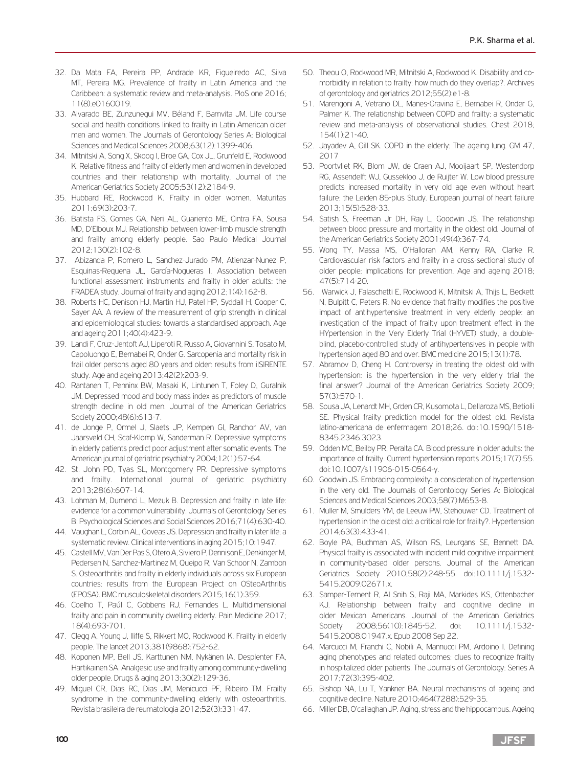- 32. Da Mata FA, Pereira PP, Andrade KR, Figueiredo AC, Silva MT, Pereira MG. Prevalence of frailty in Latin America and the Caribbean: a systematic review and meta-analysis. PloS one 2016; 11(8):e0160019.
- 33. Alvarado BE, Zunzunegui MV, Béland F, Bamvita JM. Life course social and health conditions linked to frailty in Latin American older men and women. The Journals of Gerontology Series A: Biological Sciences and Medical Sciences 2008;63(12):1399-406.
- 34. Mitnitski A, Song X, Skoog I, Broe GA, Cox JL, Grunfeld E, Rockwood K. Relative fitness and frailty of elderly men and women in developed countries and their relationship with mortality. Journal of the American Geriatrics Society 2005;53(12):2184-9.
- 35. Hubbard RE, Rockwood K. Frailty in older women. Maturitas 2011;69(3):203-7.
- 36. Batista FS, Gomes GA, Neri AL, Guariento ME, Cintra FA, Sousa MD, D'Elboux MJ. Relationship between lower-limb muscle strength and frailty among elderly people. Sao Paulo Medical Journal 2012;130(2):102-8.
- 37. Abizanda P, Romero L, Sanchez-Jurado PM, Atienzar-Nunez P, Esquinas-Requena JL, García-Nogueras I. Association between functional assessment instruments and frailty in older adults: the FRADEA study. Journal of frailty and aging 2012;1(4):162-8.
- 38. Roberts HC, Denison HJ, Martin HJ, Patel HP, Syddall H, Cooper C, Sayer AA. A review of the measurement of grip strength in clinical and epidemiological studies: towards a standardised approach. Age and ageing 2011;40(4):423-9.
- 39. Landi F, Cruz-Jentoft AJ, Liperoti R, Russo A, Giovannini S, Tosato M, Capoluongo E, Bernabei R, Onder G. Sarcopenia and mortality risk in frail older persons aged 80 years and older: results from ilSIRENTE study. Age and ageing 2013;42(2):203-9.
- 40. Rantanen T, Penninx BW, Masaki K, Lintunen T, Foley D, Guralnik JM. Depressed mood and body mass index as predictors of muscle strength decline in old men. Journal of the American Geriatrics Society 2000;48(6):613-7.
- 41. de Jonge P, Ormel J, Slaets JP, Kempen GI, Ranchor AV, van Jaarsveld CH, Scaf-Klomp W, Sanderman R. Depressive symptoms in elderly patients predict poor adjustment after somatic events. The American journal of geriatric psychiatry 2004;12(1):57-64.
- 42. St. John PD, Tyas SL, Montgomery PR. Depressive symptoms and frailty. International journal of geriatric psychiatry 2013;28(6):607-14.
- 43. Lohman M, Dumenci L, Mezuk B. Depression and frailty in late life: evidence for a common vulnerability. Journals of Gerontology Series B: Psychological Sciences and Social Sciences 2016;71(4):630-40.
- 44. Vaughan L, Corbin AL, Goveas JS. Depression and frailty in later life: a systematic review. Clinical interventions in aging 2015;10:1947.
- 45. Castell MV, Van Der Pas S, Otero A, Siviero P, Dennison E, Denkinger M, Pedersen N, Sanchez-Martinez M, Queipo R, Van Schoor N, Zambon S. Osteoarthritis and frailty in elderly individuals across six European countries: results from the European Project on OSteoArthritis (EPOSA). BMC musculoskeletal disorders 2015;16(1):359.
- 46. Coelho T, Paúl C, Gobbens RJ, Fernandes L. Multidimensional frailty and pain in community dwelling elderly. Pain Medicine 2017; 18(4):693-701.
- 47. Clegg A, Young J, Iliffe S, Rikkert MO, Rockwood K. Frailty in elderly people. The lancet 2013;381(9868):752-62.
- 48. Koponen MP, Bell JS, Karttunen NM, Nykänen IA, Desplenter FA, Hartikainen SA. Analgesic use and frailty among community-dwelling older people. Drugs & aging 2013;30(2):129-36.
- 49. Miguel CR, Dias RC, Dias JM, Menicucci PF, Ribeiro TM. Frailty syndrome in the community-dwelling elderly with osteoarthritis. Revista brasileira de reumatologia 2012;52(3):331-47.
- 50. Theou O, Rockwood MR, Mitnitski A, Rockwood K. Disability and comorbidity in relation to frailty: how much do they overlap?. Archives of gerontology and geriatrics 2012;55(2):e1-8.
- 51. Marengoni A, Vetrano DL, Manes-Gravina E, Bernabei R, Onder G, Palmer K. The relationship between COPD and frailty: a systematic review and meta-analysis of observational studies. Chest 2018; 154(1):21-40.
- 52. Jayadev A, Gill SK. COPD in the elderly: The ageing lung. GM 47, 2017
- 53. Poortvliet RK, Blom JW, de Craen AJ, Mooijaart SP, Westendorp RG, Assendelft WJ, Gussekloo J, de Ruijter W. Low blood pressure predicts increased mortality in very old age even without heart failure: the Leiden 85-plus Study. European journal of heart failure 2013;15(5):528-33.
- 54. Satish S, Freeman Jr DH, Ray L, Goodwin JS. The relationship between blood pressure and mortality in the oldest old. Journal of the American Geriatrics Society 2001;49(4):367-74.
- 55. Wong TY, Massa MS, O'Halloran AM, Kenny RA, Clarke R. Cardiovascular risk factors and frailty in a cross-sectional study of older people: implications for prevention. Age and ageing 2018; 47(5):714-20.
- 56. Warwick J, Falaschetti E, Rockwood K, Mitnitski A, Thijs L, Beckett N, Bulpitt C, Peters R. No evidence that frailty modifies the positive impact of antihypertensive treatment in very elderly people: an investigation of the impact of frailty upon treatment effect in the HYpertension in the Very Elderly Trial (HYVET) study, a doubleblind, placebo-controlled study of antihypertensives in people with hypertension aged 80 and over. BMC medicine 2015;13(1):78.
- 57. Abramov D, Cheng H. Controversy in treating the oldest old with hypertension: is the hypertension in the very elderly trial the final answer? Journal of the American Geriatrics Society 2009; 57(3):570-1.
- 58. Sousa JA, Lenardt MH, Grden CR, Kusomota L, Dellaroza MS, Betiolli SE. Physical frailty prediction model for the oldest old. Revista latino-americana de enfermagem 2018;26. doi:10.1590/1518- 8345.2346.3023.
- 59. Odden MC, Beilby PR, Peralta CA. Blood pressure in older adults: the importance of frailty. Current hypertension reports 2015;17(7):55. doi:10.1007/s11906-015-0564-y.
- 60. Goodwin JS. Embracing complexity: a consideration of hypertension in the very old. The Journals of Gerontology Series A: Biological Sciences and Medical Sciences 2003;58(7):M653-8.
- 61. Muller M, Smulders YM, de Leeuw PW, Stehouwer CD. Treatment of hypertension in the oldest old: a critical role for frailty?. Hypertension 2014;63(3):433-41.
- 62. Boyle PA, Buchman AS, Wilson RS, Leurgans SE, Bennett DA. Physical frailty is associated with incident mild cognitive impairment in community-based older persons. Journal of the American Geriatrics Society 2010;58(2):248-55. doi:10.1111/j.1532- 5415.2009.02671.x.
- 63. Samper-Ternent R, Al Snih S, Raji MA, Markides KS, Ottenbacher KJ. Relationship between frailty and cognitive decline in older Mexican Americans. Journal of the American Geriatrics Society 2008;56(10):1845-52. doi: 10.1111/j.1532-5415.2008.01947.x. Epub 2008 Sep 22.
- 64. Marcucci M, Franchi C, Nobili A, Mannucci PM, Ardoino I. Defining aging phenotypes and related outcomes: clues to recognize frailty in hospitalized older patients. The Journals of Gerontology: Series A 2017;72(3):395-402.
- 65. Bishop NA, Lu T, Yankner BA. Neural mechanisms of ageing and cognitive decline. Nature 2010;464(7288):529-35.
- 66. Miller DB, O'callaghan JP. Aging, stress and the hippocampus. Ageing